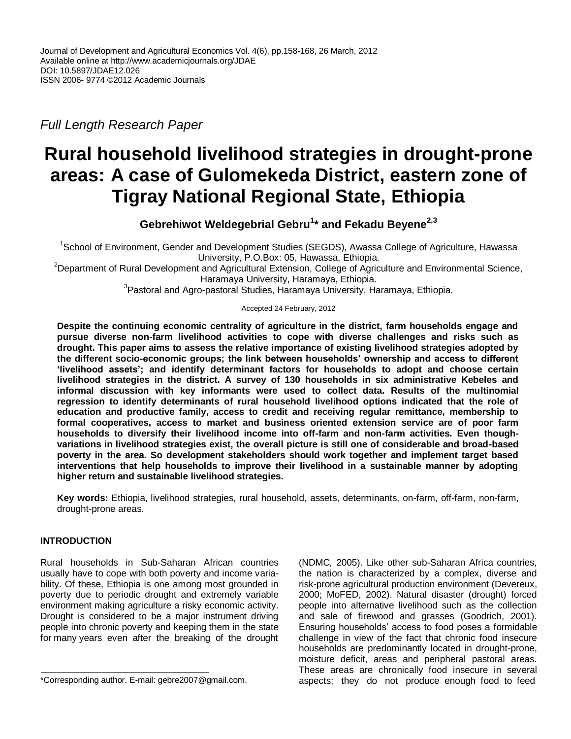*Full Length Research Paper*

# **Rural household livelihood strategies in drought-prone areas: A case of Gulomekeda District, eastern zone of Tigray National Regional State, Ethiopia**

**Gebrehiwot Weldegebrial Gebru<sup>1</sup> \* and Fekadu Beyene2,3**

<sup>1</sup>School of Environment, Gender and Development Studies (SEGDS), Awassa College of Agriculture, Hawassa University, P.O.Box: 05, Hawassa, Ethiopia.

<sup>2</sup>Department of Rural Development and Agricultural Extension, College of Agriculture and Environmental Science, Haramaya University, Haramaya, Ethiopia.

<sup>3</sup>Pastoral and Agro-pastoral Studies, Haramaya University, Haramaya, Ethiopia.

#### Accepted 24 February, 2012

**Despite the continuing economic centrality of agriculture in the district, farm households engage and pursue diverse non-farm livelihood activities to cope with diverse challenges and risks such as drought. This paper aims to assess the relative importance of existing livelihood strategies adopted by the different socio-economic groups; the link between households' ownership and access to different 'livelihood assets'; and identify determinant factors for households to adopt and choose certain livelihood strategies in the district. A survey of 130 households in six administrative Kebeles and informal discussion with key informants were used to collect data. Results of the multinomial regression to identify determinants of rural household livelihood options indicated that the role of education and productive family, access to credit and receiving regular remittance, membership to formal cooperatives, access to market and business oriented extension service are of poor farm households to diversify their livelihood income into off-farm and non-farm activities. Even thoughvariations in livelihood strategies exist, the overall picture is still one of considerable and broad-based poverty in the area. So development stakeholders should work together and implement target based interventions that help households to improve their livelihood in a sustainable manner by adopting higher return and sustainable livelihood strategies.**

**Key words:** Ethiopia, livelihood strategies, rural household, assets, determinants, on-farm, off-farm, non-farm, drought-prone areas.

# **INTRODUCTION**

Rural households in Sub-Saharan African countries usually have to cope with both poverty and income variability. Of these, Ethiopia is one among most grounded in poverty due to periodic drought and extremely variable environment making agriculture a risky economic activity. Drought is considered to be a major instrument driving people into chronic poverty and keeping them in the state for many years even after the breaking of the drought (NDMC*,* 2005). Like other sub-Saharan Africa countries, the nation is characterized by a complex, diverse and risk-prone agricultural production environment (Devereux, 2000; MoFED, 2002). Natural disaster (drought) forced people into alternative livelihood such as the collection and sale of firewood and grasses (Goodrich, 2001). Ensuring households' access to food poses a formidable challenge in view of the fact that chronic food insecure households are predominantly located in drought-prone, moisture deficit, areas and peripheral pastoral areas. These areas are chronically food insecure in several aspects; they do not produce enough food to feed

<sup>\*</sup>Corresponding author. E-mail: gebre2007@gmail.com.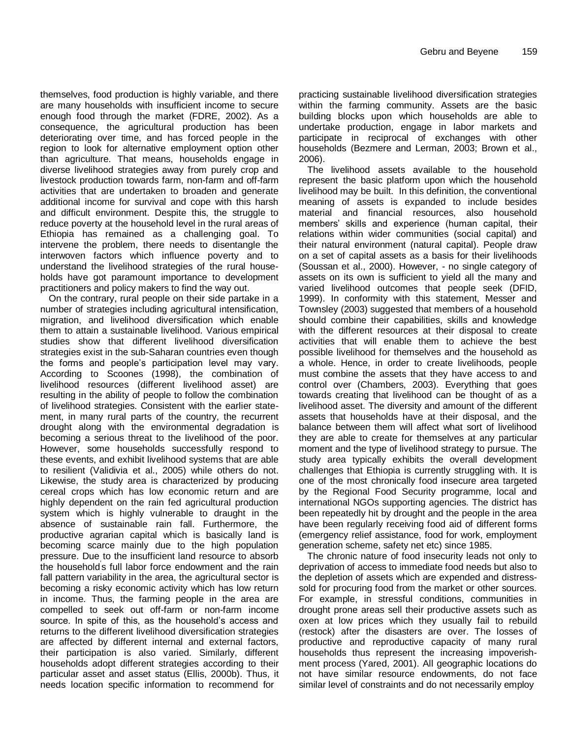themselves, food production is highly variable, and there are many households with insufficient income to secure enough food through the market (FDRE, 2002). As a consequence, the agricultural production has been deteriorating over time, and has forced people in the region to look for alternative employment option other than agriculture. That means, households engage in diverse livelihood strategies away from purely crop and livestock production towards farm, non-farm and off-farm activities that are undertaken to broaden and generate additional income for survival and cope with this harsh and difficult environment. Despite this, the struggle to reduce poverty at the household level in the rural areas of Ethiopia has remained as a challenging goal. To intervene the problem, there needs to disentangle the interwoven factors which influence poverty and to understand the livelihood strategies of the rural households have got paramount importance to development practitioners and policy makers to find the way out.

On the contrary, rural people on their side partake in a number of strategies including agricultural intensification, migration, and livelihood diversification which enable them to attain a sustainable livelihood. Various empirical studies show that different livelihood diversification strategies exist in the sub-Saharan countries even though the forms and people's participation level may vary. According to Scoones (1998), the combination of livelihood resources (different livelihood asset) are resulting in the ability of people to follow the combination of livelihood strategies. Consistent with the earlier statement, in many rural parts of the country, the recurrent drought along with the environmental degradation is becoming a serious threat to the livelihood of the poor. However, some households successfully respond to these events, and exhibit livelihood systems that are able to resilient (Validivia et al., 2005) while others do not. Likewise, the study area is characterized by producing cereal crops which has low economic return and are highly dependent on the rain fed agricultural production system which is highly vulnerable to draught in the absence of sustainable rain fall. Furthermore, the productive agrarian capital which is basically land is becoming scarce mainly due to the high population pressure. Due to the insufficient land resource to absorb .<br>the household's full labor force endowment and the rain fall pattern variability in the area, the agricultural sector is becoming a risky economic activity which has low return in income. Thus, the farming people in the area are compelled to seek out off-farm or non-farm income source. In spite of this, as the household's access and returns to the different livelihood diversification strategies are affected by different internal and external factors, their participation is also varied. Similarly, different households adopt different strategies according to their particular asset and asset status (Ellis, 2000b). Thus, it needs location specific information to recommend for

practicing sustainable livelihood diversification strategies within the farming community. Assets are the basic building blocks upon which households are able to undertake production, engage in labor markets and participate in reciprocal of exchanges with other households (Bezmere and Lerman, 2003; Brown et al., 2006).

The livelihood assets available to the household represent the basic platform upon which the household livelihood may be built. In this definition, the conventional meaning of assets is expanded to include besides material and financial resources, also household members' skills and experience (human capital, their relations within wider communities (social capital) and their natural environment (natural capital). People draw on a set of capital assets as a basis for their livelihoods (Soussan et al., 2000). However, - no single category of assets on its own is sufficient to yield all the many and varied livelihood outcomes that people seek (DFID, 1999). In conformity with this statement, Messer and Townsley (2003) suggested that members of a household should combine their capabilities, skills and knowledge with the different resources at their disposal to create activities that will enable them to achieve the best possible livelihood for themselves and the household as a whole. Hence, in order to create livelihoods, people must combine the assets that they have access to and control over (Chambers, 2003). Everything that goes towards creating that livelihood can be thought of as a livelihood asset. The diversity and amount of the different assets that households have at their disposal, and the balance between them will affect what sort of livelihood they are able to create for themselves at any particular moment and the type of livelihood strategy to pursue. The study area typically exhibits the overall development challenges that Ethiopia is currently struggling with. It is one of the most chronically food insecure area targeted by the Regional Food Security programme, local and international NGOs supporting agencies. The district has been repeatedly hit by drought and the people in the area have been regularly receiving food aid of different forms (emergency relief assistance, food for work, employment generation scheme, safety net etc) since 1985.

The chronic nature of food insecurity leads not only to deprivation of access to immediate food needs but also to the depletion of assets which are expended and distresssold for procuring food from the market or other sources. For example, in stressful conditions, communities in drought prone areas sell their productive assets such as oxen at low prices which they usually fail to rebuild (restock) after the disasters are over. The losses of productive and reproductive capacity of many rural households thus represent the increasing impoverishment process (Yared, 2001). All geographic locations do not have similar resource endowments, do not face similar level of constraints and do not necessarily employ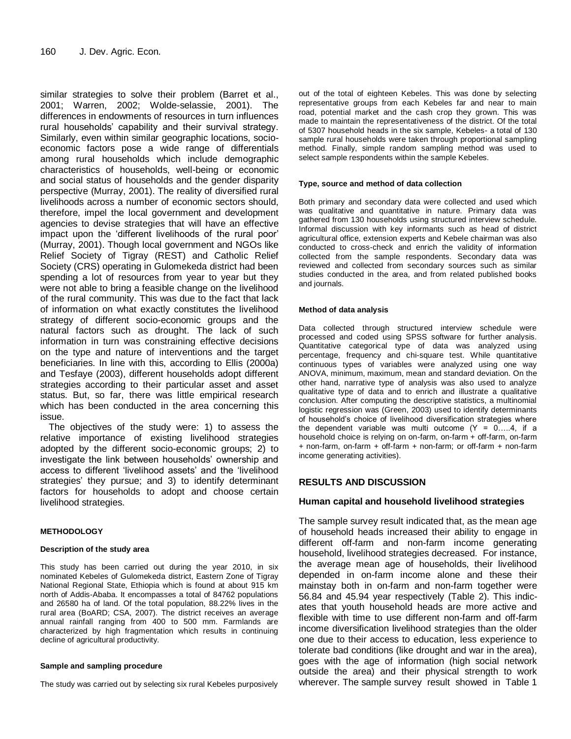similar strategies to solve their problem (Barret et al., 2001; Warren, 2002; Wolde-selassie, 2001). The differences in endowments of resources in turn influences rural households' capability and their survival strategy. Similarly, even within similar geographic locations, socioeconomic factors pose a wide range of differentials among rural households which include demographic characteristics of households, well-being or economic and social status of households and the gender disparity perspective (Murray, 2001). The reality of diversified rural livelihoods across a number of economic sectors should, therefore, impel the local government and development agencies to devise strategies that will have an effective impact upon the 'different livelihoods of the rural poor' (Murray, 2001). Though local government and NGOs like Relief Society of Tigray (REST) and Catholic Relief Society (CRS) operating in Gulomekeda district had been spending a lot of resources from year to year but they were not able to bring a feasible change on the livelihood of the rural community. This was due to the fact that lack of information on what exactly constitutes the livelihood strategy of different socio-economic groups and the natural factors such as drought. The lack of such information in turn was constraining effective decisions on the type and nature of interventions and the target beneficiaries. In line with this, according to Ellis (2000a) and Tesfaye (2003), different households adopt different strategies according to their particular asset and asset status. But, so far, there was little empirical research which has been conducted in the area concerning this issue.

The objectives of the study were: 1) to assess the relative importance of existing livelihood strategies adopted by the different socio-economic groups; 2) to investigate the link between households' ownership and access to different 'livelihood assets' and the 'livelihood strategies' they pursue; and 3) to identify determinant factors for households to adopt and choose certain livelihood strategies.

# **METHODOLOGY**

#### **Description of the study area**

This study has been carried out during the year 2010, in six nominated Kebeles of Gulomekeda district, Eastern Zone of Tigray National Regional State, Ethiopia which is found at about 915 km north of Addis-Ababa. It encompasses a total of 84762 populations and 26580 ha of land. Of the total population, 88.22% lives in the rural area (BoARD; CSA, 2007). The district receives an average annual rainfall ranging from 400 to 500 mm. Farmlands are characterized by high fragmentation which results in continuing decline of agricultural productivity.

#### **Sample and sampling procedure**

The study was carried out by selecting six rural Kebeles purposively

out of the total of eighteen Kebeles. This was done by selecting representative groups from each Kebeles far and near to main road, potential market and the cash crop they grown. This was made to maintain the representativeness of the district. Of the total of 5307 household heads in the six sample, Kebeles- a total of 130 sample rural households were taken through proportional sampling method. Finally, simple random sampling method was used to select sample respondents within the sample Kebeles.

#### **Type, source and method of data collection**

Both primary and secondary data were collected and used which was qualitative and quantitative in nature. Primary data was gathered from 130 households using structured interview schedule. Informal discussion with key informants such as head of district agricultural office, extension experts and Kebele chairman was also conducted to cross-check and enrich the validity of information collected from the sample respondents. Secondary data was reviewed and collected from secondary sources such as similar studies conducted in the area, and from related published books and journals.

#### **Method of data analysis**

Data collected through structured interview schedule were processed and coded using SPSS software for further analysis. Quantitative categorical type of data was analyzed using percentage, frequency and chi-square test. While quantitative continuous types of variables were analyzed using one way ANOVA, minimum, maximum, mean and standard deviation. On the other hand, narrative type of analysis was also used to analyze qualitative type of data and to enrich and illustrate a qualitative conclusion. After computing the descriptive statistics, a multinomial logistic regression was (Green, 2003) used to identify determinants of household's choice of livelihood diversification strategies where the dependent variable was multi outcome  $(Y = 0, \ldots, 4, Y)$  if a household choice is relying on on-farm, on-farm + off-farm, on-farm + non-farm, on-farm + off-farm + non-farm; or off-farm + non-farm income generating activities).

# **RESULTS AND DISCUSSION**

# **Human capital and household livelihood strategies**

The sample survey result indicated that, as the mean age of household heads increased their ability to engage in different off-farm and non-farm income generating household, livelihood strategies decreased. For instance, the average mean age of households, their livelihood depended in on-farm income alone and these their mainstay both in on-farm and non-farm together were 56.84 and 45.94 year respectively (Table 2). This indicates that youth household heads are more active and flexible with time to use different non-farm and off-farm income diversification livelihood strategies than the older one due to their access to education, less experience to tolerate bad conditions (like drought and war in the area), goes with the age of information (high social network outside the area) and their physical strength to work wherever. The sample survey result showed in Table 1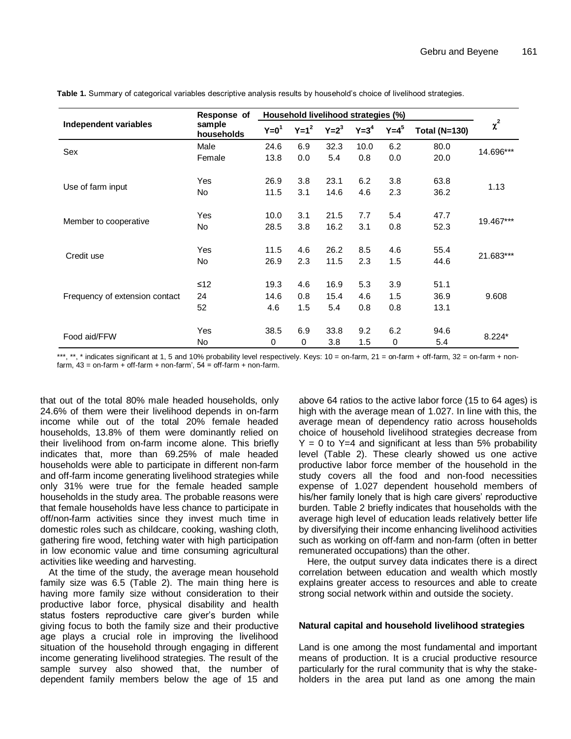|                                | Response of          | Household livelihood strategies (%) |         |         |         |         |                      |           |  |
|--------------------------------|----------------------|-------------------------------------|---------|---------|---------|---------|----------------------|-----------|--|
| Independent variables          | sample<br>households | $Y=01$                              | $Y=1^2$ | $Y=2^3$ | $Y=3^4$ | $Y=4^5$ | <b>Total (N=130)</b> | $\chi^2$  |  |
|                                | Male                 | 24.6                                | 6.9     | 32.3    | 10.0    | 6.2     | 80.0                 | 14.696*** |  |
| Sex                            | Female               | 13.8                                | 0.0     | 5.4     | 0.8     | 0.0     | 20.0                 |           |  |
| Use of farm input              | <b>Yes</b>           | 26.9                                | 3.8     | 23.1    | 6.2     | 3.8     | 63.8                 |           |  |
|                                | <b>No</b>            | 11.5                                | 3.1     | 14.6    | 4.6     | 2.3     | 36.2                 | 1.13      |  |
| Member to cooperative          | Yes                  | 10.0                                | 3.1     | 21.5    | 7.7     | 5.4     | 47.7                 |           |  |
|                                | No                   | 28.5                                | 3.8     | 16.2    | 3.1     | 0.8     | 52.3                 | 19.467*** |  |
| Credit use                     | <b>Yes</b>           | 11.5                                | 4.6     | 26.2    | 8.5     | 4.6     | 55.4                 | 21.683*** |  |
|                                | <b>No</b>            | 26.9                                | 2.3     | 11.5    | 2.3     | 1.5     | 44.6                 |           |  |
|                                | $≤12$                | 19.3                                | 4.6     | 16.9    | 5.3     | 3.9     | 51.1                 |           |  |
| Frequency of extension contact | 24                   | 14.6                                | 0.8     | 15.4    | 4.6     | 1.5     | 36.9                 | 9.608     |  |
|                                | 52                   | 4.6                                 | 1.5     | 5.4     | 0.8     | 0.8     | 13.1                 |           |  |
|                                | <b>Yes</b>           | 38.5                                | 6.9     | 33.8    | 9.2     | 6.2     | 94.6                 |           |  |
| Food aid/FFW                   | No                   | 0                                   | 0       | 3.8     | 1.5     | 0       | 5.4                  | $8.224*$  |  |

**Table 1.** Summary of categorical variables descriptive analysis results by household's choice of livelihood strategies.

\*\*\*, \*\*, \* indicates significant at 1, 5 and 10% probability level respectively. Keys: 10 = on-farm, 21 = on-farm + off-farm, 32 = on-farm + nonfarm,  $43 =$  on-farm + off-farm + non-farm',  $54 =$  off-farm + non-farm.

that out of the total 80% male headed households, only 24.6% of them were their livelihood depends in on-farm income while out of the total 20% female headed households, 13.8% of them were dominantly relied on their livelihood from on-farm income alone. This briefly indicates that, more than 69.25% of male headed households were able to participate in different non-farm and off-farm income generating livelihood strategies while only 31% were true for the female headed sample households in the study area. The probable reasons were that female households have less chance to participate in off/non-farm activities since they invest much time in domestic roles such as childcare, cooking, washing cloth, gathering fire wood, fetching water with high participation in low economic value and time consuming agricultural activities like weeding and harvesting.

At the time of the study, the average mean household family size was 6.5 (Table 2). The main thing here is having more family size without consideration to their productive labor force, physical disability and health status fosters reproductive care giver's burden while giving focus to both the family size and their productive age plays a crucial role in improving the livelihood situation of the household through engaging in different income generating livelihood strategies. The result of the sample survey also showed that, the number of dependent family members below the age of 15 and

above 64 ratios to the active labor force (15 to 64 ages) is high with the average mean of 1.027. In line with this, the average mean of dependency ratio across households choice of household livelihood strategies decrease from  $Y = 0$  to  $Y=4$  and significant at less than 5% probability level (Table 2). These clearly showed us one active productive labor force member of the household in the study covers all the food and non-food necessities expense of 1.027 dependent household members of his/her family lonely that is high care givers' reproductive burden. Table 2 briefly indicates that households with the average high level of education leads relatively better life by diversifying their income enhancing livelihood activities such as working on off-farm and non-farm (often in better remunerated occupations) than the other.

Here, the output survey data indicates there is a direct correlation between education and wealth which mostly explains greater access to resources and able to create strong social network within and outside the society.

#### **Natural capital and household livelihood strategies**

Land is one among the most fundamental and important means of production. It is a crucial productive resource particularly for the rural community that is why the stakeholders in the area put land as one among the main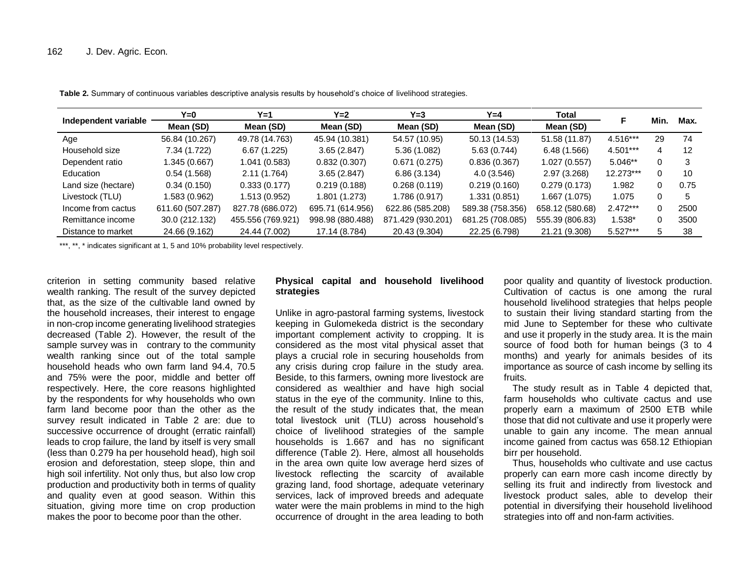|                      | Y=0              | Y=1               | Y=2              | Y=3               | $Y=4$            | Total           |            | Min. | Max. |
|----------------------|------------------|-------------------|------------------|-------------------|------------------|-----------------|------------|------|------|
| Independent variable | Mean (SD)        | Mean (SD)         | Mean (SD)        | Mean (SD)         | Mean (SD)        | Mean (SD)       |            |      |      |
| Age                  | 56.84 (10.267)   | 49.78 (14.763)    | 45.94 (10.381)   | 54.57 (10.95)     | 50.13 (14.53)    | 51.58 (11.87)   | 4.516***   | 29   | 74   |
| Household size       | 7.34 (1.722)     | 6.67(1.225)       | 3.65(2.847)      | 5.36(1.082)       | 5.63(0.744)      | 6.48(1.566)     | 4.501***   | 4    | 12   |
| Dependent ratio      | .345(0.667)      | 1.041 (0.583)     | 0.832(0.307)     | 0.671(0.275)      | 0.836(0.367)     | 1.027(0.557)    | $5.046**$  | 0    |      |
| Education            | 0.54(1.568)      | 2.11 (1.764)      | 3.65(2.847)      | 6.86(3.134)       | 4.0(3.546)       | 2.97 (3.268)    | 12.273***  | 0    | 10   |
| Land size (hectare)  | 0.34(0.150)      | 0.333(0.177)      | 0.219(0.188)     | 0.268(0.119)      | 0.219(0.160)     | 0.279(0.173)    | 1.982      | 0    | 0.75 |
| Livestock (TLU)      | 1.583 (0.962)    | 1.513 (0.952)     | 1.801 (1.273)    | 1.786 (0.917)     | 1.331 (0.851)    | 1.667 (1.075)   | 1.075      | 0    |      |
| Income from cactus   | 611.60 (507.287) | 827.78 (686.072)  | 695.71 (614.956) | 622.86 (585.208)  | 589.38 (758.356) | 658.12 (580.68) | $2.472***$ | 0    | 2500 |
| Remittance income    | 30.0 (212.132)   | 455.556 (769.921) | 998.98 (880.488) | 871.429 (930.201) | 681.25 (708.085) | 555.39 (806.83) | 1.538*     | 0    | 3500 |
| Distance to market   | 24.66 (9.162)    | 24.44 (7.002)     | 17.14 (8.784)    | 20.43 (9.304)     | 22.25 (6.798)    | 21.21 (9.308)   | $5.527***$ | 5    | -38  |

**Table 2.** Summary of continuous variables descriptive analysis results by household's choice of livelihood strategies.

\*\*\*, \*\*, \* indicates significant at 1, 5 and 10% probability level respectively.

criterion in setting community based relative wealth ranking. The result of the survey depicted that, as the size of the cultivable land owned by the household increases, their interest to engage in non-crop income generating livelihood strategies decreased (Table 2). However, the result of the sample survey was in contrary to the community wealth ranking since out of the total sample household heads who own farm land 94.4, 70.5 and 75% were the poor, middle and better off respectively. Here, the core reasons highlighted by the respondents for why households who own farm land become poor than the other as the survey result indicated in Table 2 are: due to successive occurrence of drought (erratic rainfall) leads to crop failure, the land by itself is very small (less than 0.279 ha per household head), high soil erosion and deforestation, steep slope, thin and high soil infertility. Not only thus, but also low crop production and productivity both in terms of quality and quality even at good season. Within this situation, giving more time on crop production makes the poor to become poor than the other.

# **Physical capital and household livelihood strategies**

Unlike in agro-pastoral farming systems, livestock keeping in Gulomekeda district is the secondary important complement activity to cropping. It is considered as the most vital physical asset that plays a crucial role in securing households from any crisis during crop failure in the study area. Beside, to this farmers, owning more livestock are considered as wealthier and have high social status in the eye of the community. Inline to this, the result of the study indicates that, the mean total livestock unit (TLU) across household's choice of livelihood strategies of the sample households is 1.667 and has no significant difference (Table 2). Here, almost all households in the area own quite low average herd sizes of livestock reflecting the scarcity of available grazing land, food shortage, adequate veterinary services, lack of improved breeds and adequate water were the main problems in mind to the high occurrence of drought in the area leading to both

poor quality and quantity of livestock production. Cultivation of cactus is one among the rural household livelihood strategies that helps people to sustain their living standard starting from the mid June to September for these who cultivate and use it properly in the study area. It is the main source of food both for human beings (3 to 4 months) and yearly for animals besides of its importance as source of cash income by selling its fruits.

The study result as in Table 4 depicted that, farm households who cultivate cactus and use properly earn a maximum of 2500 ETB while those that did not cultivate and use it properly were unable to gain any income. The mean annual income gained from cactus was 658.12 Ethiopian birr per household.

Thus, households who cultivate and use cactus properly can earn more cash income directly by selling its fruit and indirectly from livestock and livestock product sales, able to develop their potential in diversifying their household livelihood strategies into off and non-farm activities.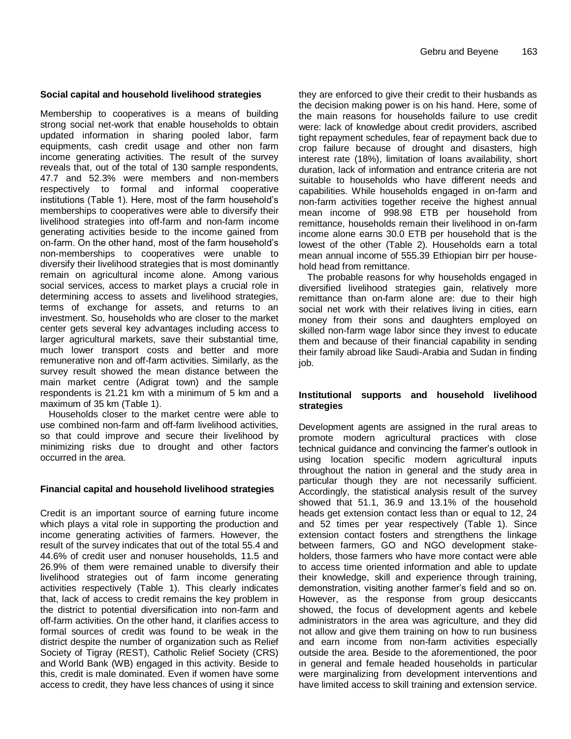# **Social capital and household livelihood strategies**

Membership to cooperatives is a means of building strong social net-work that enable households to obtain updated information in sharing pooled labor, farm equipments, cash credit usage and other non farm income generating activities. The result of the survey reveals that, out of the total of 130 sample respondents, 47.7 and 52.3% were members and non-members respectively to formal and informal cooperative institutions (Table 1). Here, most of the farm household's memberships to cooperatives were able to diversify their livelihood strategies into off-farm and non-farm income generating activities beside to the income gained from on-farm. On the other hand, most of the farm household's non-memberships to cooperatives were unable to diversify their livelihood strategies that is most dominantly remain on agricultural income alone. Among various social services, access to market plays a crucial role in determining access to assets and livelihood strategies, terms of exchange for assets, and returns to an investment. So, households who are closer to the market center gets several key advantages including access to larger agricultural markets, save their substantial time, much lower transport costs and better and more remunerative non and off-farm activities. Similarly, as the survey result showed the mean distance between the main market centre (Adigrat town) and the sample respondents is 21.21 km with a minimum of 5 km and a maximum of 35 km (Table 1).

Households closer to the market centre were able to use combined non-farm and off-farm livelihood activities, so that could improve and secure their livelihood by minimizing risks due to drought and other factors occurred in the area.

#### **Financial capital and household livelihood strategies**

Credit is an important source of earning future income which plays a vital role in supporting the production and income generating activities of farmers. However, the result of the survey indicates that out of the total 55.4 and 44.6% of credit user and nonuser households, 11.5 and 26.9% of them were remained unable to diversify their livelihood strategies out of farm income generating activities respectively (Table 1). This clearly indicates that, lack of access to credit remains the key problem in the district to potential diversification into non-farm and off-farm activities. On the other hand, it clarifies access to formal sources of credit was found to be weak in the district despite the number of organization such as Relief Society of Tigray (REST), Catholic Relief Society (CRS) and World Bank (WB) engaged in this activity. Beside to this, credit is male dominated. Even if women have some access to credit, they have less chances of using it since

they are enforced to give their credit to their husbands as the decision making power is on his hand. Here, some of the main reasons for households failure to use credit were: lack of knowledge about credit providers, ascribed tight repayment schedules, fear of repayment back due to crop failure because of drought and disasters, high interest rate (18%), limitation of loans availability, short duration, lack of information and entrance criteria are not suitable to households who have different needs and capabilities. While households engaged in on-farm and non-farm activities together receive the highest annual mean income of 998.98 ETB per household from remittance, households remain their livelihood in on-farm income alone earns 30.0 ETB per household that is the lowest of the other (Table 2). Households earn a total mean annual income of 555.39 Ethiopian birr per household head from remittance.

The probable reasons for why households engaged in diversified livelihood strategies gain, relatively more remittance than on-farm alone are: due to their high social net work with their relatives living in cities, earn money from their sons and daughters employed on skilled non-farm wage labor since they invest to educate them and because of their financial capability in sending their family abroad like Saudi-Arabia and Sudan in finding iob.

#### **Institutional supports and household livelihood strategies**

Development agents are assigned in the rural areas to promote modern agricultural practices with close technical guidance and convincing the farmer's outlook in using location specific modern agricultural inputs throughout the nation in general and the study area in particular though they are not necessarily sufficient. Accordingly, the statistical analysis result of the survey showed that 51.1, 36.9 and 13.1% of the household heads get extension contact less than or equal to 12, 24 and 52 times per year respectively (Table 1). Since extension contact fosters and strengthens the linkage between farmers, GO and NGO development stakeholders, those farmers who have more contact were able to access time oriented information and able to update their knowledge, skill and experience through training, demonstration, visiting another farmer's field and so on. However, as the response from group desiccants showed, the focus of development agents and kebele administrators in the area was agriculture, and they did not allow and give them training on how to run business and earn income from non-farm activities especially outside the area. Beside to the aforementioned, the poor in general and female headed households in particular were marginalizing from development interventions and have limited access to skill training and extension service.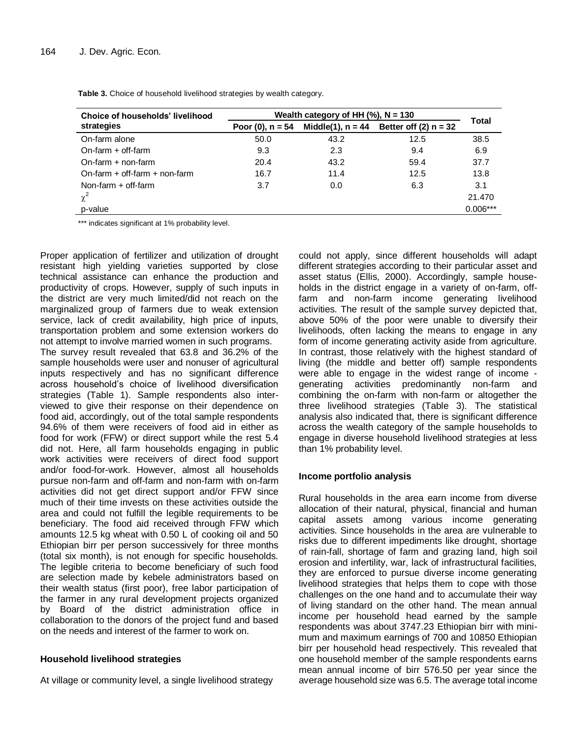| Choice of households' livelihood  | Wealth category of HH $(\%)$ , N = 130 |      |                                                                |              |  |  |
|-----------------------------------|----------------------------------------|------|----------------------------------------------------------------|--------------|--|--|
| strategies                        |                                        |      | Poor (0), $n = 54$ Middle(1), $n = 44$ Better off (2) $n = 32$ | <b>Total</b> |  |  |
| On-farm alone                     | 50.0                                   | 43.2 | 12.5                                                           | 38.5         |  |  |
| $On-farm + off-farm$              | 9.3                                    | 2.3  | 9.4                                                            | 6.9          |  |  |
| $On-farm + non-farm$              | 20.4                                   | 43.2 | 59.4                                                           | 37.7         |  |  |
| On-farm $+$ off-farm $+$ non-farm | 16.7                                   | 11.4 | 12.5                                                           | 13.8         |  |  |
| Non-farm $+$ off-farm             | 3.7                                    | 0.0  | 6.3                                                            | 3.1          |  |  |
| $\chi^2$                          |                                        |      |                                                                | 21.470       |  |  |
| p-value                           |                                        |      |                                                                | $0.006***$   |  |  |

**Table 3.** Choice of household livelihood strategies by wealth category.

\*\*\* indicates significant at 1% probability level.

Proper application of fertilizer and utilization of drought resistant high yielding varieties supported by close technical assistance can enhance the production and productivity of crops. However, supply of such inputs in the district are very much limited/did not reach on the marginalized group of farmers due to weak extension service, lack of credit availability, high price of inputs, transportation problem and some extension workers do not attempt to involve married women in such programs.

The survey result revealed that 63.8 and 36.2% of the sample households were user and nonuser of agricultural inputs respectively and has no significant difference across household's choice of livelihood diversification strategies (Table 1). Sample respondents also interviewed to give their response on their dependence on food aid, accordingly, out of the total sample respondents 94.6% of them were receivers of food aid in either as food for work (FFW) or direct support while the rest 5.4 did not. Here, all farm households engaging in public work activities were receivers of direct food support and/or food-for-work. However, almost all households pursue non-farm and off-farm and non-farm with on-farm activities did not get direct support and/or FFW since much of their time invests on these activities outside the area and could not fulfill the legible requirements to be beneficiary. The food aid received through FFW which amounts 12.5 kg wheat with 0.50 L of cooking oil and 50 Ethiopian birr per person successively for three months (total six month), is not enough for specific households. The legible criteria to become beneficiary of such food are selection made by kebele administrators based on their wealth status (first poor), free labor participation of the farmer in any rural development projects organized by Board of the district administration office in collaboration to the donors of the project fund and based on the needs and interest of the farmer to work on.

# **Household livelihood strategies**

At village or community level, a single livelihood strategy

could not apply, since different households will adapt different strategies according to their particular asset and asset status (Ellis, 2000). Accordingly, sample households in the district engage in a variety of on-farm, offfarm and non-farm income generating livelihood activities. The result of the sample survey depicted that, above 50% of the poor were unable to diversify their livelihoods, often lacking the means to engage in any form of income generating activity aside from agriculture. In contrast, those relatively with the highest standard of living (the middle and better off) sample respondents were able to engage in the widest range of income generating activities predominantly non-farm and combining the on-farm with non-farm or altogether the three livelihood strategies (Table 3). The statistical analysis also indicated that, there is significant difference across the wealth category of the sample households to engage in diverse household livelihood strategies at less than 1% probability level.

# **Income portfolio analysis**

Rural households in the area earn income from diverse allocation of their natural, physical, financial and human capital assets among various income generating activities. Since households in the area are vulnerable to risks due to different impediments like drought, shortage of rain-fall, shortage of farm and grazing land, high soil erosion and infertility, war, lack of infrastructural facilities, they are enforced to pursue diverse income generating livelihood strategies that helps them to cope with those challenges on the one hand and to accumulate their way of living standard on the other hand. The mean annual income per household head earned by the sample respondents was about 3747.23 Ethiopian birr with minimum and maximum earnings of 700 and 10850 Ethiopian birr per household head respectively. This revealed that one household member of the sample respondents earns mean annual income of birr 576.50 per year since the average household size was 6.5. The average total income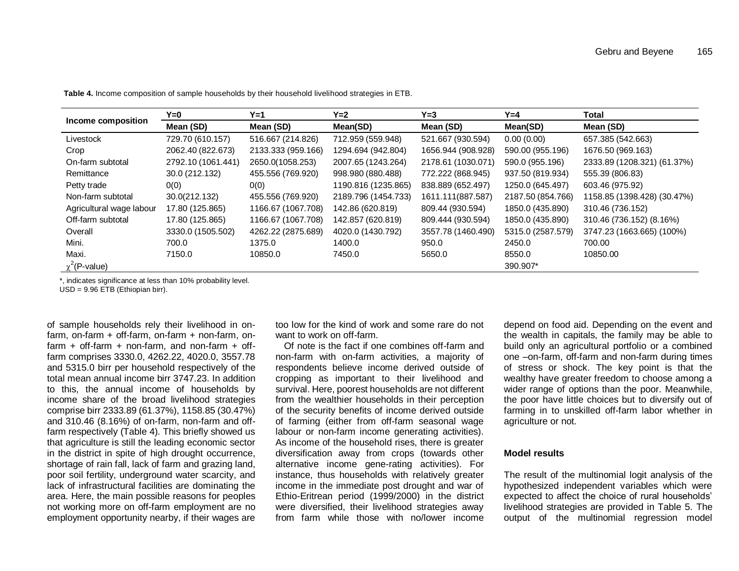|                          | Y=0                | Y=1                | $Y=2$               | Y=3                | Y=4               | Total                       |
|--------------------------|--------------------|--------------------|---------------------|--------------------|-------------------|-----------------------------|
| Income composition       | Mean (SD)          | Mean (SD)          | Mean(SD)            | Mean (SD)          | Mean(SD)          | Mean (SD)                   |
| Livestock                | 729.70 (610.157)   | 516.667 (214.826)  | 712.959 (559.948)   | 521.667 (930.594)  | 0.00(0.00)        | 657.385 (542.663)           |
| Crop                     | 2062.40 (822.673)  | 2133.333 (959.166) | 1294.694 (942.804)  | 1656.944 (908.928) | 590.00 (955.196)  | 1676.50 (969.163)           |
| On-farm subtotal         | 2792.10 (1061.441) | 2650.0(1058.253)   | 2007.65 (1243.264)  | 2178.61 (1030.071) | 590.0 (955.196)   | 2333.89 (1208.321) (61.37%) |
| Remittance               | 30.0 (212.132)     | 455.556 (769.920)  | 998.980 (880.488)   | 772.222 (868.945)  | 937.50 (819.934)  | 555.39 (806.83)             |
| Petty trade              | 0(0)               | O(0)               | 1190.816 (1235.865) | 838.889 (652.497)  | 1250.0 (645.497)  | 603.46 (975.92)             |
| Non-farm subtotal        | 30.0(212.132)      | 455.556 (769.920)  | 2189.796 (1454.733) | 1611.111(887.587)  | 2187.50 (854.766) | 1158.85 (1398.428) (30.47%) |
| Agricultural wage labour | 17.80 (125.865)    | 1166.67 (1067.708) | 142.86 (620.819)    | 809.44 (930.594)   | 1850.0 (435.890)  | 310.46 (736.152)            |
| Off-farm subtotal        | 17.80 (125.865)    | 1166.67 (1067.708) | 142.857 (620.819)   | 809.444 (930.594)  | 1850.0 (435.890)  | 310.46 (736.152) (8.16%)    |
| Overall                  | 3330.0 (1505.502)  | 4262.22 (2875.689) | 4020.0 (1430.792)   | 3557.78 (1460.490) | 5315.0 (2587.579) | 3747.23 (1663.665) (100%)   |
| Mini.                    | 700.0              | 1375.0             | 1400.0              | 950.0              | 2450.0            | 700.00                      |
| Maxi.                    | 7150.0             | 10850.0            | 7450.0              | 5650.0             | 8550.0            | 10850.00                    |
| $\chi^2$ (P-value)       |                    |                    |                     |                    | 390.907*          |                             |

**Table 4.** Income composition of sample households by their household livelihood strategies in ETB.

\*, indicates significance at less than 10% probability level.

USD = 9.96 ETB (Ethiopian birr).

of sample households rely their livelihood in onfarm, on-farm + off-farm, on-farm + non-farm, on $farm + off-farm + non-farm, and non-farm + off-f$ farm comprises 3330.0, 4262.22, 4020.0, 3557.78 and 5315.0 birr per household respectively of the total mean annual income birr 3747.23. In addition to this, the annual income of households by income share of the broad livelihood strategies comprise birr 2333.89 (61.37%), 1158.85 (30.47%) and 310.46 (8.16%) of on-farm, non-farm and offfarm respectively (Table 4). This briefly showed us that agriculture is still the leading economic sector in the district in spite of high drought occurrence, shortage of rain fall, lack of farm and grazing land, poor soil fertility, underground water scarcity, and lack of infrastructural facilities are dominating the area. Here, the main possible reasons for peoples not working more on off-farm employment are no employment opportunity nearby, if their wages are

too low for the kind of work and some rare do not want to work on off-farm.

Of note is the fact if one combines off-farm and non-farm with on-farm activities, a majority of respondents believe income derived outside of cropping as important to their livelihood and survival. Here, poorest households are not different from the wealthier households in their perception of the security benefits of income derived outside of farming (either from off-farm seasonal wage labour or non-farm income generating activities). As income of the household rises, there is greater diversification away from crops (towards other alternative income gene-rating activities). For instance, thus households with relatively greater income in the immediate post drought and war of Ethio-Eritrean period (1999/2000) in the district were diversified, their livelihood strategies away from farm while those with no/lower income

depend on food aid. Depending on the event and the wealth in capitals, the family may be able to build only an agricultural portfolio or a combined one –on-farm, off-farm and non-farm during times of stress or shock. The key point is that the wealthy have greater freedom to choose among a wider range of options than the poor. Meanwhile, the poor have little choices but to diversify out of farming in to unskilled off-farm labor whether in agriculture or not.

#### **Model results**

The result of the multinomial logit analysis of the hypothesized independent variables which were expected to affect the choice of rural households' livelihood strategies are provided in Table 5. The output of the multinomial regression model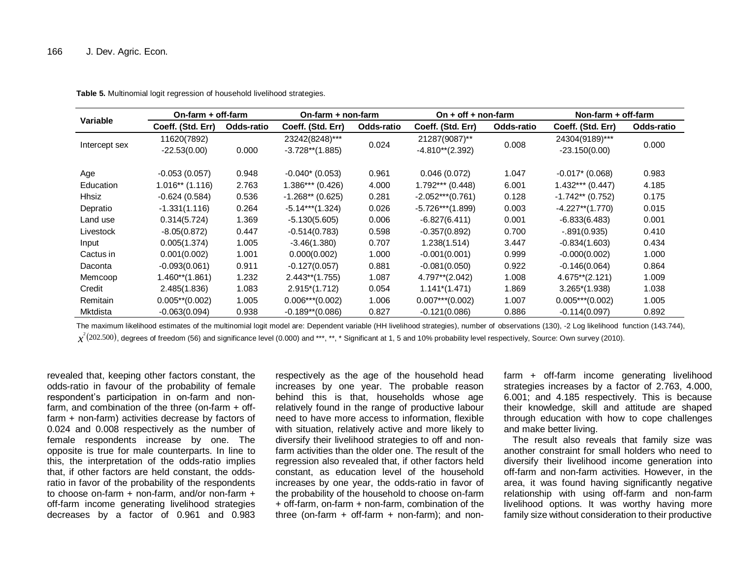| Variable      | $On-farm + off-farm$          |            | On-farm + non-farm                   |            | On $+$ off $+$ non-farm             |            | Non-farm + off-farm               |            |  |
|---------------|-------------------------------|------------|--------------------------------------|------------|-------------------------------------|------------|-----------------------------------|------------|--|
|               | Coeff. (Std. Err)             | Odds-ratio | Coeff. (Std. Err)                    | Odds-ratio | Coeff. (Std. Err)                   | Odds-ratio | Coeff. (Std. Err)                 | Odds-ratio |  |
| Intercept sex | 11620(7892)<br>$-22.53(0.00)$ | 0.000      | 23242(8248)***<br>$-3.728**$ (1.885) | 0.024      | 21287(9087)**<br>$-4.810**$ (2.392) | 0.008      | 24304(9189)***<br>$-23.150(0.00)$ | 0.000      |  |
| Age           | $-0.053(0.057)$               | 0.948      | $-0.040*(0.053)$                     | 0.961      | 0.046(0.072)                        | 1.047      | $-0.017$ (0.068)                  | 0.983      |  |
| Education     | $1.016**$ (1.116)             | 2.763      | $1.386***(0.426)$                    | 4.000      | $1.792***$ (0.448)                  | 6.001      | $1.432***$ (0.447)                | 4.185      |  |
| Hhsiz         | $-0.624(0.584)$               | 0.536      | $-1.268**$ (0.625)                   | 0.281      | $-2.052***(0.761)$                  | 0.128      | $-1.742**$ (0.752)                | 0.175      |  |
| Depratio      | $-1.331(1.116)$               | 0.264      | $-5.14***$ (1.324)                   | 0.026      | $-5.726***$ (1.899)                 | 0.003      | $-4.227**$ (1.770)                | 0.015      |  |
| Land use      | 0.314(5.724)                  | 1.369      | $-5.130(5.605)$                      | 0.006      | $-6.827(6.411)$                     | 0.001      | $-6.833(6.483)$                   | 0.001      |  |
| Livestock     | $-8.05(0.872)$                | 0.447      | $-0.514(0.783)$                      | 0.598      | $-0.357(0.892)$                     | 0.700      | $-.891(0.935)$                    | 0.410      |  |
| Input         | 0.005(1.374)                  | 1.005      | $-3.46(1.380)$                       | 0.707      | 1.238(1.514)                        | 3.447      | $-0.834(1.603)$                   | 0.434      |  |
| Cactus in     | 0.001(0.002)                  | 1.001      | 0.000(0.002)                         | 1.000      | $-0.001(0.001)$                     | 0.999      | $-0.000(0.002)$                   | 1.000      |  |
| Daconta       | $-0.093(0.061)$               | 0.911      | $-0.127(0.057)$                      | 0.881      | $-0.081(0.050)$                     | 0.922      | $-0.146(0.064)$                   | 0.864      |  |
| Memcoop       | $1.460**$ (1.861)             | 1.232      | $2.443**$ (1.755)                    | 1.087      | 4.797**(2.042)                      | 1.008      | $4.675**$ (2.121)                 | 1.009      |  |
| Credit        | 2.485(1.836)                  | 1.083      | $2.915*(1.712)$                      | 0.054      | $1.141*(1.471)$                     | 1.869      | $3.265*(1.938)$                   | 1.038      |  |
| Remitain      | $0.005**$ (0.002)             | 1.005      | $0.006***(0.002)$                    | 1.006      | $0.007***$ (0.002)                  | 1.007      | $0.005***(0.002)$                 | 1.005      |  |
| Mktdista      | $-0.063(0.094)$               | 0.938      | $-0.189**$ (0.086)                   | 0.827      | $-0.121(0.086)$                     | 0.886      | $-0.114(0.097)$                   | 0.892      |  |

**Table 5.** Multinomial logit regression of household livelihood strategies.

The maximum likelihood estimates of the multinomial logit model are: Dependent variable (HH livelihood strategies), number of observations (130), -2 Log likelihood function (143.744),

 $\chi^2(202.500)$ , degrees of freedom (56) and significance level (0.000) and \*\*\*, \*\*, \* Significant at 1, 5 and 10% probability level respectively, Source: Own survey (2010).

revealed that, keeping other factors constant, the odds-ratio in favour of the probability of female respondent's participation in on-farm and nonfarm, and combination of the three (on-farm + offfarm + non-farm) activities decrease by factors of 0.024 and 0.008 respectively as the number of female respondents increase by one. The opposite is true for male counterparts. In line to this, the interpretation of the odds-ratio implies that, if other factors are held constant, the oddsratio in favor of the probability of the respondents to choose on-farm + non-farm, and/or non-farm + off-farm income generating livelihood strategies decreases by a factor of 0.961 and 0.983

respectively as the age of the household head increases by one year. The probable reason behind this is that, households whose age relatively found in the range of productive labour need to have more access to information, flexible with situation, relatively active and more likely to diversify their livelihood strategies to off and nonfarm activities than the older one. The result of the regression also revealed that, if other factors held constant, as education level of the household increases by one year, the odds-ratio in favor of the probability of the household to choose on-farm + off-farm, on-farm + non-farm, combination of the three (on-farm  $+$  off-farm  $+$  non-farm); and nonfarm + off-farm income generating livelihood strategies increases by a factor of 2.763, 4.000, 6.001; and 4.185 respectively. This is because their knowledge, skill and attitude are shaped through education with how to cope challenges and make better living.

The result also reveals that family size was another constraint for small holders who need to diversify their livelihood income generation into off-farm and non-farm activities. However, in the area, it was found having significantly negative relationship with using off-farm and non-farm livelihood options. It was worthy having more family size without consideration to their productive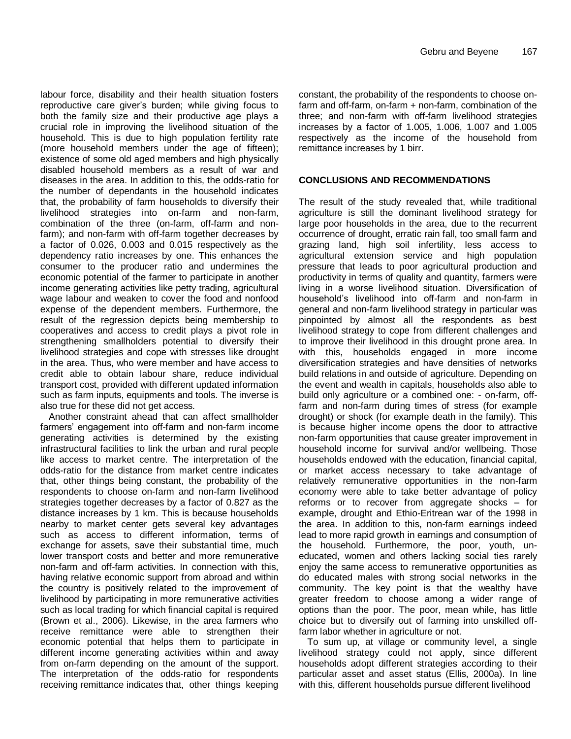labour force, disability and their health situation fosters reproductive care giver's burden; while giving focus to both the family size and their productive age plays a crucial role in improving the livelihood situation of the household. This is due to high population fertility rate (more household members under the age of fifteen); existence of some old aged members and high physically disabled household members as a result of war and diseases in the area. In addition to this, the odds-ratio for the number of dependants in the household indicates that, the probability of farm households to diversify their livelihood strategies into on-farm and non-farm, combination of the three (on-farm, off-farm and nonfarm); and non-farm with off-farm together decreases by a factor of 0.026, 0.003 and 0.015 respectively as the dependency ratio increases by one. This enhances the consumer to the producer ratio and undermines the economic potential of the farmer to participate in another income generating activities like petty trading, agricultural wage labour and weaken to cover the food and nonfood expense of the dependent members. Furthermore, the result of the regression depicts being membership to cooperatives and access to credit plays a pivot role in strengthening smallholders potential to diversify their livelihood strategies and cope with stresses like drought in the area. Thus, who were member and have access to credit able to obtain labour share, reduce individual transport cost, provided with different updated information such as farm inputs, equipments and tools. The inverse is also true for these did not get access.

Another constraint ahead that can affect smallholder farmers' engagement into off-farm and non-farm income generating activities is determined by the existing infrastructural facilities to link the urban and rural people like access to market centre. The interpretation of the odds-ratio for the distance from market centre indicates that, other things being constant, the probability of the respondents to choose on-farm and non-farm livelihood strategies together decreases by a factor of 0.827 as the distance increases by 1 km. This is because households nearby to market center gets several key advantages such as access to different information, terms of exchange for assets, save their substantial time, much lower transport costs and better and more remunerative non-farm and off-farm activities. In connection with this, having relative economic support from abroad and within the country is positively related to the improvement of livelihood by participating in more remunerative activities such as local trading for which financial capital is required (Brown et al., 2006). Likewise, in the area farmers who receive remittance were able to strengthen their economic potential that helps them to participate in different income generating activities within and away from on-farm depending on the amount of the support. The interpretation of the odds-ratio for respondents receiving remittance indicates that, other things keeping

constant, the probability of the respondents to choose onfarm and off-farm, on-farm + non-farm, combination of the three; and non-farm with off-farm livelihood strategies increases by a factor of 1.005, 1.006, 1.007 and 1.005 respectively as the income of the household from remittance increases by 1 birr.

### **CONCLUSIONS AND RECOMMENDATIONS**

The result of the study revealed that, while traditional agriculture is still the dominant livelihood strategy for large poor households in the area, due to the recurrent occurrence of drought, erratic rain fall, too small farm and grazing land, high soil infertility, less access to agricultural extension service and high population pressure that leads to poor agricultural production and productivity in terms of quality and quantity, farmers were living in a worse livelihood situation. Diversification of household's livelihood into off-farm and non-farm in general and non-farm livelihood strategy in particular was pinpointed by almost all the respondents as best livelihood strategy to cope from different challenges and to improve their livelihood in this drought prone area. In with this, households engaged in more income diversification strategies and have densities of networks build relations in and outside of agriculture. Depending on the event and wealth in capitals, households also able to build only agriculture or a combined one: - on-farm, offfarm and non-farm during times of stress (for example drought) or shock (for example death in the family). This is because higher income opens the door to attractive non-farm opportunities that cause greater improvement in household income for survival and/or wellbeing. Those households endowed with the education, financial capital, or market access necessary to take advantage of relatively remunerative opportunities in the non-farm economy were able to take better advantage of policy reforms or to recover from aggregate shocks – for example, drought and Ethio-Eritrean war of the 1998 in the area. In addition to this, non-farm earnings indeed lead to more rapid growth in earnings and consumption of the household. Furthermore, the poor, youth, uneducated, women and others lacking social ties rarely enjoy the same access to remunerative opportunities as do educated males with strong social networks in the community. The key point is that the wealthy have greater freedom to choose among a wider range of options than the poor. The poor, mean while, has little choice but to diversify out of farming into unskilled offfarm labor whether in agriculture or not.

To sum up, at village or community level, a single livelihood strategy could not apply, since different households adopt different strategies according to their particular asset and asset status (Ellis, 2000a). In line with this, different households pursue different livelihood